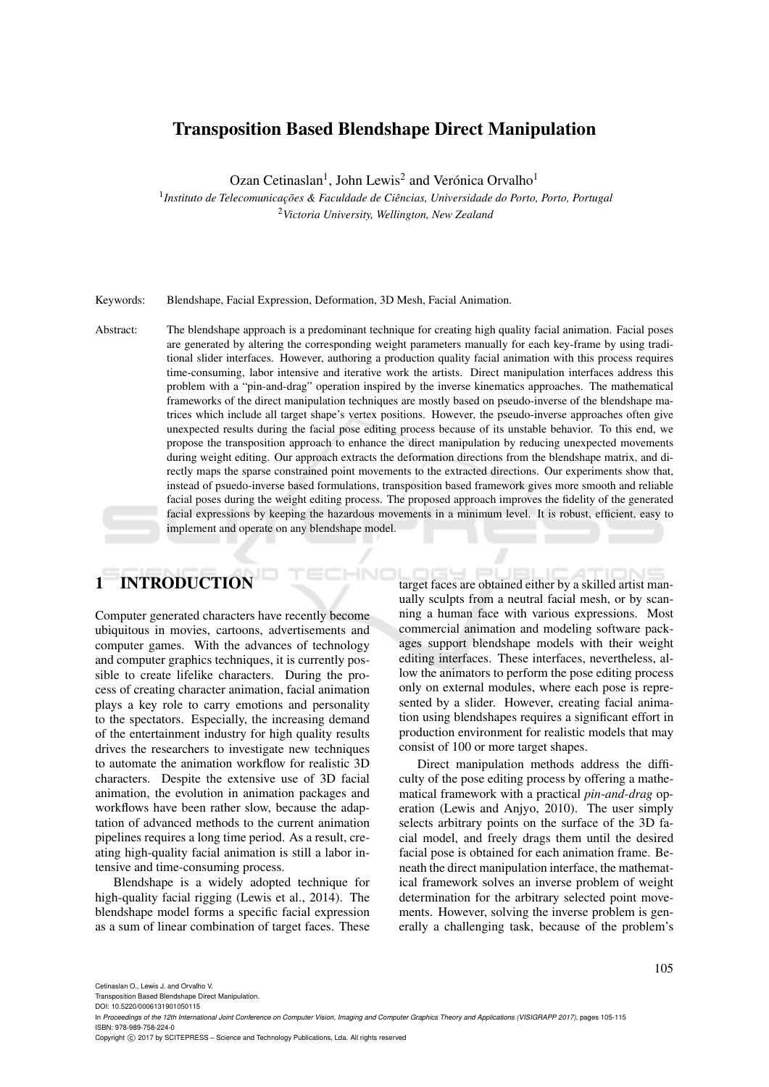# Transposition Based Blendshape Direct Manipulation

Ozan Cetinaslan<sup>1</sup>, John Lewis<sup>2</sup> and Verónica Orvalho<sup>1</sup>

<sup>1</sup> Instituto de Telecomunicações & Faculdade de Ciências, Universidade do Porto, Porto, Portugal <sup>2</sup>*Victoria University, Wellington, New Zealand*

Keywords: Blendshape, Facial Expression, Deformation, 3D Mesh, Facial Animation.

Abstract: The blendshape approach is a predominant technique for creating high quality facial animation. Facial poses are generated by altering the corresponding weight parameters manually for each key-frame by using traditional slider interfaces. However, authoring a production quality facial animation with this process requires time-consuming, labor intensive and iterative work the artists. Direct manipulation interfaces address this problem with a "pin-and-drag" operation inspired by the inverse kinematics approaches. The mathematical frameworks of the direct manipulation techniques are mostly based on pseudo-inverse of the blendshape matrices which include all target shape's vertex positions. However, the pseudo-inverse approaches often give unexpected results during the facial pose editing process because of its unstable behavior. To this end, we propose the transposition approach to enhance the direct manipulation by reducing unexpected movements during weight editing. Our approach extracts the deformation directions from the blendshape matrix, and directly maps the sparse constrained point movements to the extracted directions. Our experiments show that, instead of psuedo-inverse based formulations, transposition based framework gives more smooth and reliable facial poses during the weight editing process. The proposed approach improves the fidelity of the generated facial expressions by keeping the hazardous movements in a minimum level. It is robust, efficient, easy to implement and operate on any blendshape model.

# 1 INTRODUCTION

Computer generated characters have recently become ubiquitous in movies, cartoons, advertisements and computer games. With the advances of technology and computer graphics techniques, it is currently possible to create lifelike characters. During the process of creating character animation, facial animation plays a key role to carry emotions and personality to the spectators. Especially, the increasing demand of the entertainment industry for high quality results drives the researchers to investigate new techniques to automate the animation workflow for realistic 3D characters. Despite the extensive use of 3D facial animation, the evolution in animation packages and workflows have been rather slow, because the adaptation of advanced methods to the current animation pipelines requires a long time period. As a result, creating high-quality facial animation is still a labor intensive and time-consuming process.

Blendshape is a widely adopted technique for high-quality facial rigging (Lewis et al., 2014). The blendshape model forms a specific facial expression as a sum of linear combination of target faces. These

target faces are obtained either by a skilled artist manually sculpts from a neutral facial mesh, or by scanning a human face with various expressions. Most commercial animation and modeling software packages support blendshape models with their weight editing interfaces. These interfaces, nevertheless, allow the animators to perform the pose editing process only on external modules, where each pose is represented by a slider. However, creating facial animation using blendshapes requires a significant effort in production environment for realistic models that may consist of 100 or more target shapes.

Direct manipulation methods address the difficulty of the pose editing process by offering a mathematical framework with a practical *pin-and-drag* operation (Lewis and Anjyo, 2010). The user simply selects arbitrary points on the surface of the 3D facial model, and freely drags them until the desired facial pose is obtained for each animation frame. Beneath the direct manipulation interface, the mathematical framework solves an inverse problem of weight determination for the arbitrary selected point movements. However, solving the inverse problem is generally a challenging task, because of the problem's

Cetinaslan O., Lewis J. and Orvalho V.

Transposition Based Blendshape Direct Manipulation.

DOI: 10.5220/0006131901050115

In *Proceedings of the 12th International Joint Conference on Computer Vision, Imaging and Computer Graphics Theory and Applications (VISIGRAPP 2017)*, pages 105-115 ISBN: 978-989-758-224-0

Copyright © 2017 by SCITEPRESS - Science and Technology Publications, Lda. All rights reserved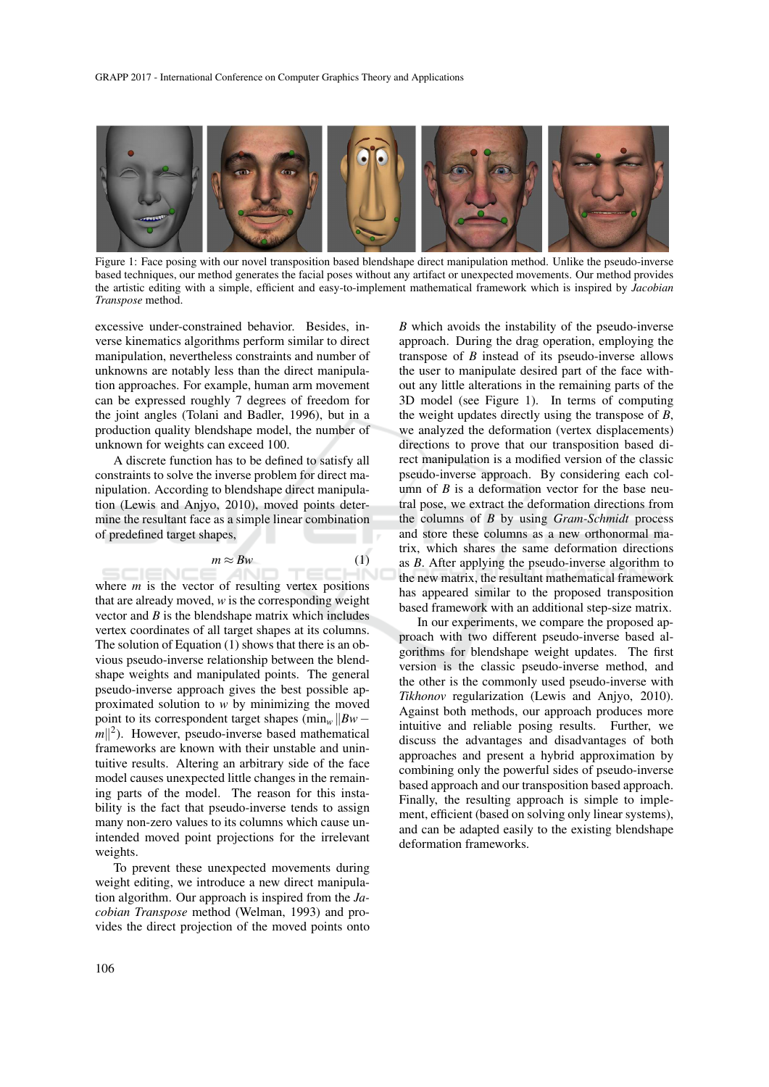

Figure 1: Face posing with our novel transposition based blendshape direct manipulation method. Unlike the pseudo-inverse based techniques, our method generates the facial poses without any artifact or unexpected movements. Our method provides the artistic editing with a simple, efficient and easy-to-implement mathematical framework which is inspired by *Jacobian Transpose* method.

excessive under-constrained behavior. Besides, inverse kinematics algorithms perform similar to direct manipulation, nevertheless constraints and number of unknowns are notably less than the direct manipulation approaches. For example, human arm movement can be expressed roughly 7 degrees of freedom for the joint angles (Tolani and Badler, 1996), but in a production quality blendshape model, the number of unknown for weights can exceed 100.

A discrete function has to be defined to satisfy all constraints to solve the inverse problem for direct manipulation. According to blendshape direct manipulation (Lewis and Anjyo, 2010), moved points determine the resultant face as a simple linear combination of predefined target shapes,

$$
m \approx Bw \tag{1}
$$

where *m* is the vector of resulting vertex positions that are already moved, *w* is the corresponding weight vector and *B* is the blendshape matrix which includes vertex coordinates of all target shapes at its columns. The solution of Equation (1) shows that there is an obvious pseudo-inverse relationship between the blendshape weights and manipulated points. The general pseudo-inverse approach gives the best possible approximated solution to *w* by minimizing the moved point to its correspondent target shapes (min<sub>*w*</sub> *||Bw* −  $|m||^2$ ). However, pseudo-inverse based mathematical frameworks are known with their unstable and unintuitive results. Altering an arbitrary side of the face model causes unexpected little changes in the remaining parts of the model. The reason for this instability is the fact that pseudo-inverse tends to assign many non-zero values to its columns which cause unintended moved point projections for the irrelevant weights.

To prevent these unexpected movements during weight editing, we introduce a new direct manipulation algorithm. Our approach is inspired from the *Jacobian Transpose* method (Welman, 1993) and provides the direct projection of the moved points onto

*B* which avoids the instability of the pseudo-inverse approach. During the drag operation, employing the transpose of *B* instead of its pseudo-inverse allows the user to manipulate desired part of the face without any little alterations in the remaining parts of the 3D model (see Figure 1). In terms of computing the weight updates directly using the transpose of *B*, we analyzed the deformation (vertex displacements) directions to prove that our transposition based direct manipulation is a modified version of the classic pseudo-inverse approach. By considering each column of  $B$  is a deformation vector for the base neutral pose, we extract the deformation directions from the columns of *B* by using *Gram-Schmidt* process and store these columns as a new orthonormal matrix, which shares the same deformation directions as *B*. After applying the pseudo-inverse algorithm to the new matrix, the resultant mathematical framework has appeared similar to the proposed transposition based framework with an additional step-size matrix.

In our experiments, we compare the proposed approach with two different pseudo-inverse based algorithms for blendshape weight updates. The first version is the classic pseudo-inverse method, and the other is the commonly used pseudo-inverse with *Tikhonov* regularization (Lewis and Anjyo, 2010). Against both methods, our approach produces more intuitive and reliable posing results. Further, we discuss the advantages and disadvantages of both approaches and present a hybrid approximation by combining only the powerful sides of pseudo-inverse based approach and our transposition based approach. Finally, the resulting approach is simple to implement, efficient (based on solving only linear systems), and can be adapted easily to the existing blendshape deformation frameworks.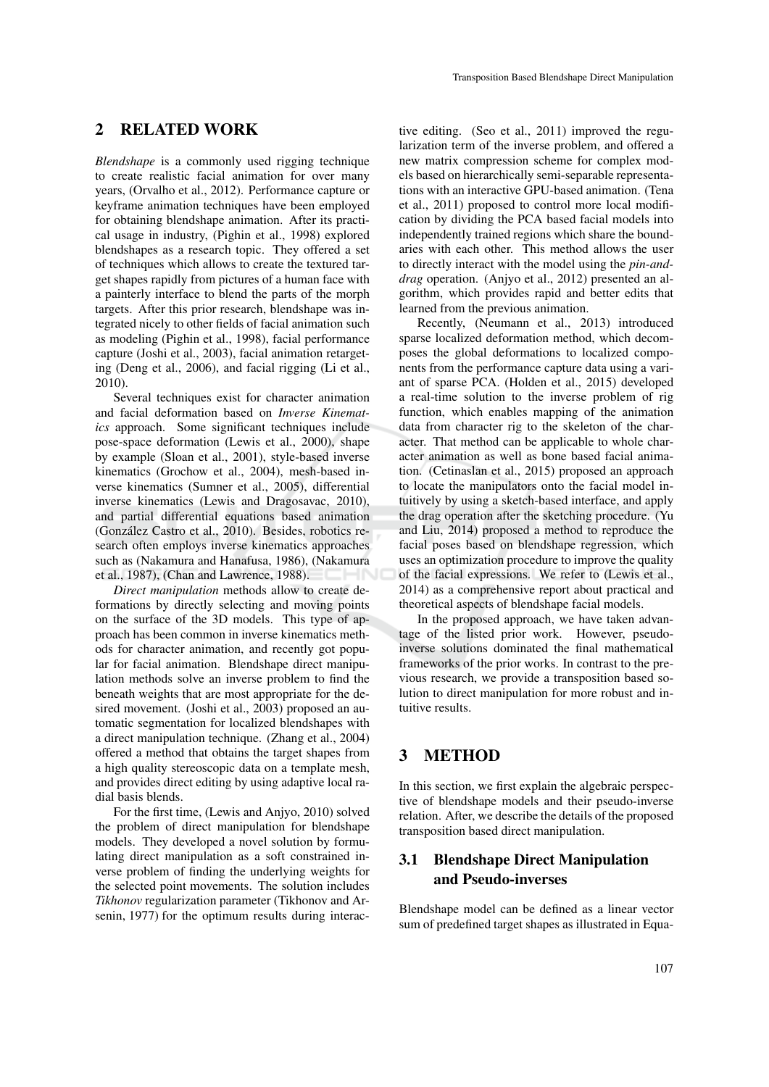### 2 RELATED WORK

*Blendshape* is a commonly used rigging technique to create realistic facial animation for over many years, (Orvalho et al., 2012). Performance capture or keyframe animation techniques have been employed for obtaining blendshape animation. After its practical usage in industry, (Pighin et al., 1998) explored blendshapes as a research topic. They offered a set of techniques which allows to create the textured target shapes rapidly from pictures of a human face with a painterly interface to blend the parts of the morph targets. After this prior research, blendshape was integrated nicely to other fields of facial animation such as modeling (Pighin et al., 1998), facial performance capture (Joshi et al., 2003), facial animation retargeting (Deng et al., 2006), and facial rigging (Li et al., 2010).

Several techniques exist for character animation and facial deformation based on *Inverse Kinematics* approach. Some significant techniques include pose-space deformation (Lewis et al., 2000), shape by example (Sloan et al., 2001), style-based inverse kinematics (Grochow et al., 2004), mesh-based inverse kinematics (Sumner et al., 2005), differential inverse kinematics (Lewis and Dragosavac, 2010), and partial differential equations based animation (González Castro et al., 2010). Besides, robotics research often employs inverse kinematics approaches such as (Nakamura and Hanafusa, 1986), (Nakamura et al., 1987), (Chan and Lawrence, 1988).

*Direct manipulation* methods allow to create deformations by directly selecting and moving points on the surface of the 3D models. This type of approach has been common in inverse kinematics methods for character animation, and recently got popular for facial animation. Blendshape direct manipulation methods solve an inverse problem to find the beneath weights that are most appropriate for the desired movement. (Joshi et al., 2003) proposed an automatic segmentation for localized blendshapes with a direct manipulation technique. (Zhang et al., 2004) offered a method that obtains the target shapes from a high quality stereoscopic data on a template mesh, and provides direct editing by using adaptive local radial basis blends.

For the first time, (Lewis and Anjyo, 2010) solved the problem of direct manipulation for blendshape models. They developed a novel solution by formulating direct manipulation as a soft constrained inverse problem of finding the underlying weights for the selected point movements. The solution includes *Tikhonov* regularization parameter (Tikhonov and Arsenin, 1977) for the optimum results during interac-

tive editing. (Seo et al., 2011) improved the regularization term of the inverse problem, and offered a new matrix compression scheme for complex models based on hierarchically semi-separable representations with an interactive GPU-based animation. (Tena et al., 2011) proposed to control more local modification by dividing the PCA based facial models into independently trained regions which share the boundaries with each other. This method allows the user to directly interact with the model using the *pin-anddrag* operation. (Anivo et al., 2012) presented an algorithm, which provides rapid and better edits that learned from the previous animation.

Recently, (Neumann et al., 2013) introduced sparse localized deformation method, which decomposes the global deformations to localized components from the performance capture data using a variant of sparse PCA. (Holden et al., 2015) developed a real-time solution to the inverse problem of rig function, which enables mapping of the animation data from character rig to the skeleton of the character. That method can be applicable to whole character animation as well as bone based facial animation. (Cetinaslan et al., 2015) proposed an approach to locate the manipulators onto the facial model intuitively by using a sketch-based interface, and apply the drag operation after the sketching procedure. (Yu and Liu, 2014) proposed a method to reproduce the facial poses based on blendshape regression, which uses an optimization procedure to improve the quality of the facial expressions. We refer to (Lewis et al., 2014) as a comprehensive report about practical and theoretical aspects of blendshape facial models.

In the proposed approach, we have taken advantage of the listed prior work. However, pseudoinverse solutions dominated the final mathematical frameworks of the prior works. In contrast to the previous research, we provide a transposition based solution to direct manipulation for more robust and intuitive results.

# 3 METHOD

In this section, we first explain the algebraic perspective of blendshape models and their pseudo-inverse relation. After, we describe the details of the proposed transposition based direct manipulation.

## 3.1 Blendshape Direct Manipulation and Pseudo-inverses

Blendshape model can be defined as a linear vector sum of predefined target shapes as illustrated in Equa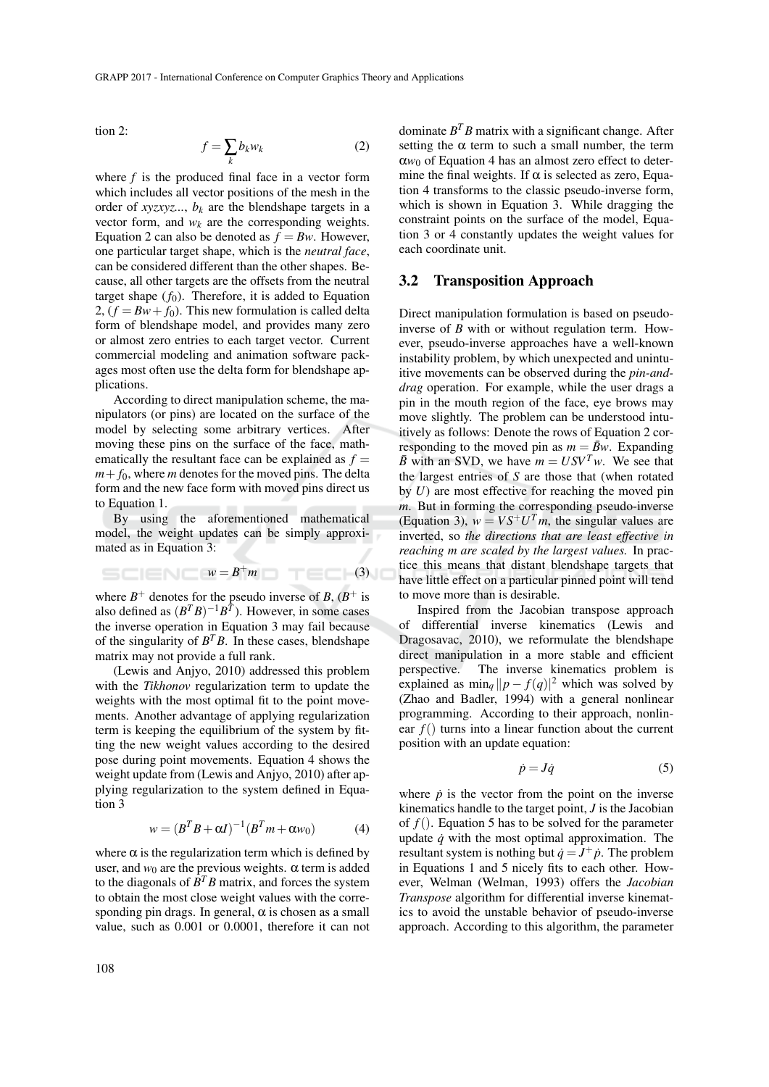tion 2:

$$
f = \sum_{k} b_k w_k \tag{2}
$$

where *f* is the produced final face in a vector form which includes all vector positions of the mesh in the order of  $xyzxyz...$ ,  $b_k$  are the blendshape targets in a vector form, and  $w_k$  are the corresponding weights. Equation 2 can also be denoted as  $f = Bw$ . However, one particular target shape, which is the *neutral face*, can be considered different than the other shapes. Because, all other targets are the offsets from the neutral target shape  $(f_0)$ . Therefore, it is added to Equation 2,  $(f = Bw + f_0)$ . This new formulation is called delta form of blendshape model, and provides many zero or almost zero entries to each target vector. Current commercial modeling and animation software packages most often use the delta form for blendshape applications.

According to direct manipulation scheme, the manipulators (or pins) are located on the surface of the model by selecting some arbitrary vertices. After moving these pins on the surface of the face, mathematically the resultant face can be explained as  $f =$  $m + f_0$ , where *m* denotes for the moved pins. The delta form and the new face form with moved pins direct us to Equation 1.

By using the aforementioned mathematical model, the weight updates can be simply approximated as in Equation 3:

$$
S = \square
$$

where  $B^+$  denotes for the pseudo inverse of *B*,  $(B^+$  is also defined as  $(B^T B)^{-1} B^{\overline{T}}$ ). However, in some cases the inverse operation in Equation 3 may fail because of the singularity of  $B^T B$ . In these cases, blendshape matrix may not provide a full rank.

(Lewis and Anjyo, 2010) addressed this problem with the *Tikhonov* regularization term to update the weights with the most optimal fit to the point movements. Another advantage of applying regularization term is keeping the equilibrium of the system by fitting the new weight values according to the desired pose during point movements. Equation 4 shows the weight update from (Lewis and Anjyo, 2010) after applying regularization to the system defined in Equation 3

$$
w = (BTB + \alpha I)^{-1}(BTm + \alpha w_0)
$$
 (4)

where  $\alpha$  is the regularization term which is defined by user, and  $w_0$  are the previous weights.  $\alpha$  term is added to the diagonals of  $B^T B$  matrix, and forces the system to obtain the most close weight values with the corresponding pin drags. In general,  $\alpha$  is chosen as a small value, such as 0.001 or 0.0001, therefore it can not

dominate *B <sup>T</sup>B* matrix with a significant change. After setting the  $\alpha$  term to such a small number, the term  $\alpha w_0$  of Equation 4 has an almost zero effect to determine the final weights. If  $\alpha$  is selected as zero, Equation 4 transforms to the classic pseudo-inverse form, which is shown in Equation 3. While dragging the constraint points on the surface of the model, Equation 3 or 4 constantly updates the weight values for each coordinate unit.

#### 3.2 Transposition Approach

Direct manipulation formulation is based on pseudoinverse of *B* with or without regulation term. However, pseudo-inverse approaches have a well-known instability problem, by which unexpected and unintuitive movements can be observed during the *pin-anddrag* operation. For example, while the user drags a pin in the mouth region of the face, eye brows may move slightly. The problem can be understood intuitively as follows: Denote the rows of Equation 2 corresponding to the moved pin as  $m = \bar{B}w$ . Expanding  $\bar{B}$  with an SVD, we have  $m = USV^Tw$ . We see that the largest entries of *S* are those that (when rotated by *U*) are most effective for reaching the moved pin *m*. But in forming the corresponding pseudo-inverse (Equation 3),  $w = VS^+U^Tm$ , the singular values are inverted, so *the directions that are least effective in reaching m are scaled by the largest values.* In practice this means that distant blendshape targets that have little effect on a particular pinned point will tend to move more than is desirable.

Inspired from the Jacobian transpose approach of differential inverse kinematics (Lewis and Dragosavac, 2010), we reformulate the blendshape direct manipulation in a more stable and efficient perspective. The inverse kinematics problem is explained as  $\min_q ||p - f(q)|^2$  which was solved by (Zhao and Badler, 1994) with a general nonlinear programming. According to their approach, nonlinear *f*() turns into a linear function about the current position with an update equation:

$$
\dot{p} = J\dot{q} \tag{5}
$$

where  $\dot{p}$  is the vector from the point on the inverse kinematics handle to the target point, *J* is the Jacobian of  $f(.)$ . Equation 5 has to be solved for the parameter update  $\dot{q}$  with the most optimal approximation. The resultant system is nothing but  $\dot{q} = J^+ \dot{p}$ . The problem in Equations 1 and 5 nicely fits to each other. However, Welman (Welman, 1993) offers the *Jacobian Transpose* algorithm for differential inverse kinematics to avoid the unstable behavior of pseudo-inverse approach. According to this algorithm, the parameter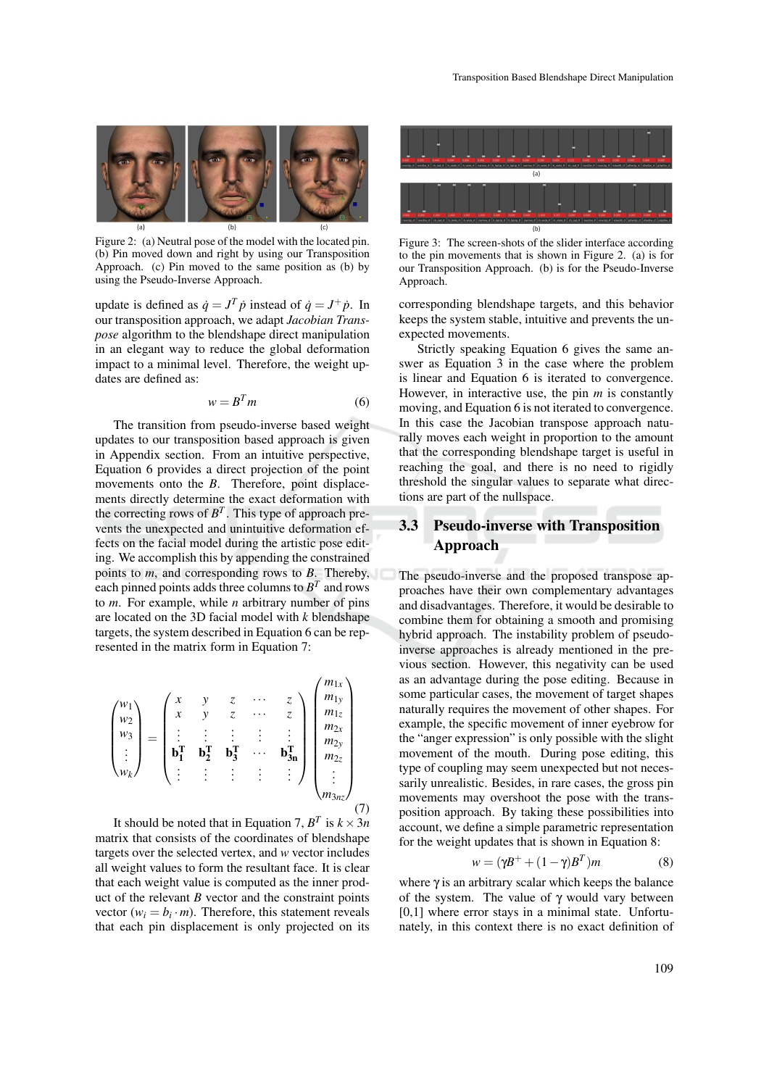

Figure 2: (a) Neutral pose of the model with the located pin. (b) Pin moved down and right by using our Transposition Approach. (c) Pin moved to the same position as (b) by using the Pseudo-Inverse Approach.

update is defined as  $\dot{q} = J^T \dot{p}$  instead of  $\dot{q} = J^+ \dot{p}$ . In our transposition approach, we adapt *Jacobian Transpose* algorithm to the blendshape direct manipulation in an elegant way to reduce the global deformation impact to a minimal level. Therefore, the weight updates are defined as:

$$
w = B^T m \tag{6}
$$

The transition from pseudo-inverse based weight updates to our transposition based approach is given in Appendix section. From an intuitive perspective, Equation 6 provides a direct projection of the point movements onto the *B*. Therefore, point displacements directly determine the exact deformation with the correcting rows of  $B<sup>T</sup>$ . This type of approach prevents the unexpected and unintuitive deformation effects on the facial model during the artistic pose editing. We accomplish this by appending the constrained points to *m*, and corresponding rows to *B*. Thereby, each pinned points adds three columns to  $B<sup>T</sup>$  and rows to *m*. For example, while *n* arbitrary number of pins are located on the 3D facial model with *k* blendshape targets, the system described in Equation 6 can be represented in the matrix form in Equation 7:

$$
\begin{pmatrix} w_1 \\ w_2 \\ w_3 \\ \vdots \\ w_k \end{pmatrix} = \begin{pmatrix} x & y & z & \cdots & z \\ x & y & z & \cdots & z \\ \vdots & \vdots & \vdots & \vdots & \vdots \\ \mathbf{b}_1^{\mathbf{T}} & \mathbf{b}_2^{\mathbf{T}} & \mathbf{b}_3^{\mathbf{T}} & \cdots & \mathbf{b}_{3n}^{\mathbf{T}} \\ \vdots & \vdots & \vdots & \vdots & \vdots \\ \mathbf{b}_n^{\mathbf{T}} & \mathbf{b}_2^{\mathbf{T}} & \mathbf{b}_3^{\mathbf{T}} & \cdots & \mathbf{b}_{3n}^{\mathbf{T}} \\ \vdots & \vdots & \vdots & \vdots & \vdots \end{pmatrix} \begin{pmatrix} m_{1x} \\ m_{1y} \\ m_{2x} \\ m_{2y} \\ m_{2z} \\ \vdots \\ m_{3nz} \end{pmatrix}
$$
 (7)

It should be noted that in Equation 7,  $B^T$  is  $k \times 3n$ matrix that consists of the coordinates of blendshape targets over the selected vertex, and *w* vector includes all weight values to form the resultant face. It is clear that each weight value is computed as the inner product of the relevant *B* vector and the constraint points vector ( $w_i = b_i \cdot m$ ). Therefore, this statement reveals that each pin displacement is only projected on its



Figure 3: The screen-shots of the slider interface according to the pin movements that is shown in Figure 2. (a) is for our Transposition Approach. (b) is for the Pseudo-Inverse Approach.

corresponding blendshape targets, and this behavior keeps the system stable, intuitive and prevents the unexpected movements.

Strictly speaking Equation 6 gives the same answer as Equation 3 in the case where the problem is linear and Equation 6 is iterated to convergence. However, in interactive use, the pin *m* is constantly moving, and Equation 6 is not iterated to convergence. In this case the Jacobian transpose approach naturally moves each weight in proportion to the amount that the corresponding blendshape target is useful in reaching the goal, and there is no need to rigidly threshold the singular values to separate what directions are part of the nullspace.

# 3.3 Pseudo-inverse with Transposition Approach

The pseudo-inverse and the proposed transpose approaches have their own complementary advantages and disadvantages. Therefore, it would be desirable to combine them for obtaining a smooth and promising hybrid approach. The instability problem of pseudoinverse approaches is already mentioned in the previous section. However, this negativity can be used as an advantage during the pose editing. Because in some particular cases, the movement of target shapes naturally requires the movement of other shapes. For example, the specific movement of inner eyebrow for the "anger expression" is only possible with the slight movement of the mouth. During pose editing, this type of coupling may seem unexpected but not necessarily unrealistic. Besides, in rare cases, the gross pin movements may overshoot the pose with the transposition approach. By taking these possibilities into account, we define a simple parametric representation for the weight updates that is shown in Equation 8:

$$
w = (\gamma B^+ + (1 - \gamma)B^T)m \tag{8}
$$

where  $\gamma$  is an arbitrary scalar which keeps the balance of the system. The value of  $\gamma$  would vary between [0,1] where error stays in a minimal state. Unfortunately, in this context there is no exact definition of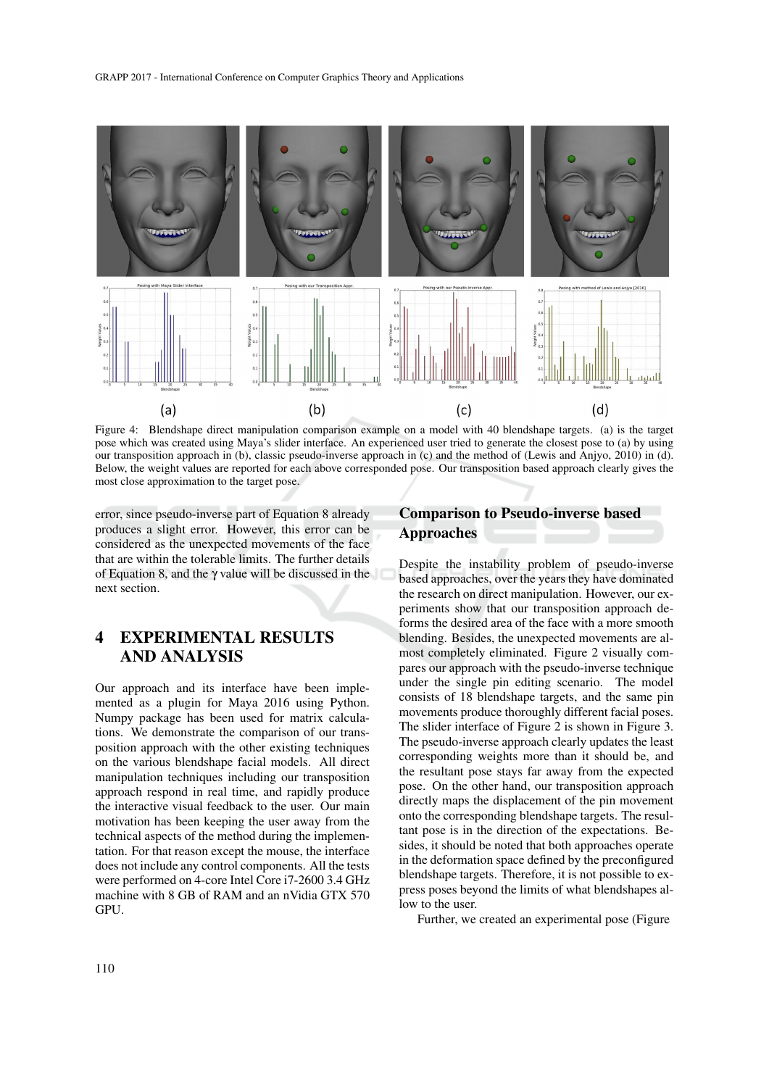

Figure 4: Blendshape direct manipulation comparison example on a model with 40 blendshape targets. (a) is the target pose which was created using Maya's slider interface. An experienced user tried to generate the closest pose to (a) by using our transposition approach in (b), classic pseudo-inverse approach in (c) and the method of (Lewis and Anjyo, 2010) in (d). Below, the weight values are reported for each above corresponded pose. Our transposition based approach clearly gives the most close approximation to the target pose.

error, since pseudo-inverse part of Equation 8 already produces a slight error. However, this error can be considered as the unexpected movements of the face that are within the tolerable limits. The further details of Equation 8, and the  $\gamma$  value will be discussed in the next section.

# 4 EXPERIMENTAL RESULTS AND ANALYSIS

Our approach and its interface have been implemented as a plugin for Maya 2016 using Python. Numpy package has been used for matrix calculations. We demonstrate the comparison of our transposition approach with the other existing techniques on the various blendshape facial models. All direct manipulation techniques including our transposition approach respond in real time, and rapidly produce the interactive visual feedback to the user. Our main motivation has been keeping the user away from the technical aspects of the method during the implementation. For that reason except the mouse, the interface does not include any control components. All the tests were performed on 4-core Intel Core i7-2600 3.4 GHz machine with 8 GB of RAM and an nVidia GTX 570 GPU.

### Comparison to Pseudo-inverse based Approaches

Despite the instability problem of pseudo-inverse based approaches, over the years they have dominated the research on direct manipulation. However, our experiments show that our transposition approach deforms the desired area of the face with a more smooth blending. Besides, the unexpected movements are almost completely eliminated. Figure 2 visually compares our approach with the pseudo-inverse technique under the single pin editing scenario. The model consists of 18 blendshape targets, and the same pin movements produce thoroughly different facial poses. The slider interface of Figure 2 is shown in Figure 3. The pseudo-inverse approach clearly updates the least corresponding weights more than it should be, and the resultant pose stays far away from the expected pose. On the other hand, our transposition approach directly maps the displacement of the pin movement onto the corresponding blendshape targets. The resultant pose is in the direction of the expectations. Besides, it should be noted that both approaches operate in the deformation space defined by the preconfigured blendshape targets. Therefore, it is not possible to express poses beyond the limits of what blendshapes allow to the user.

Further, we created an experimental pose (Figure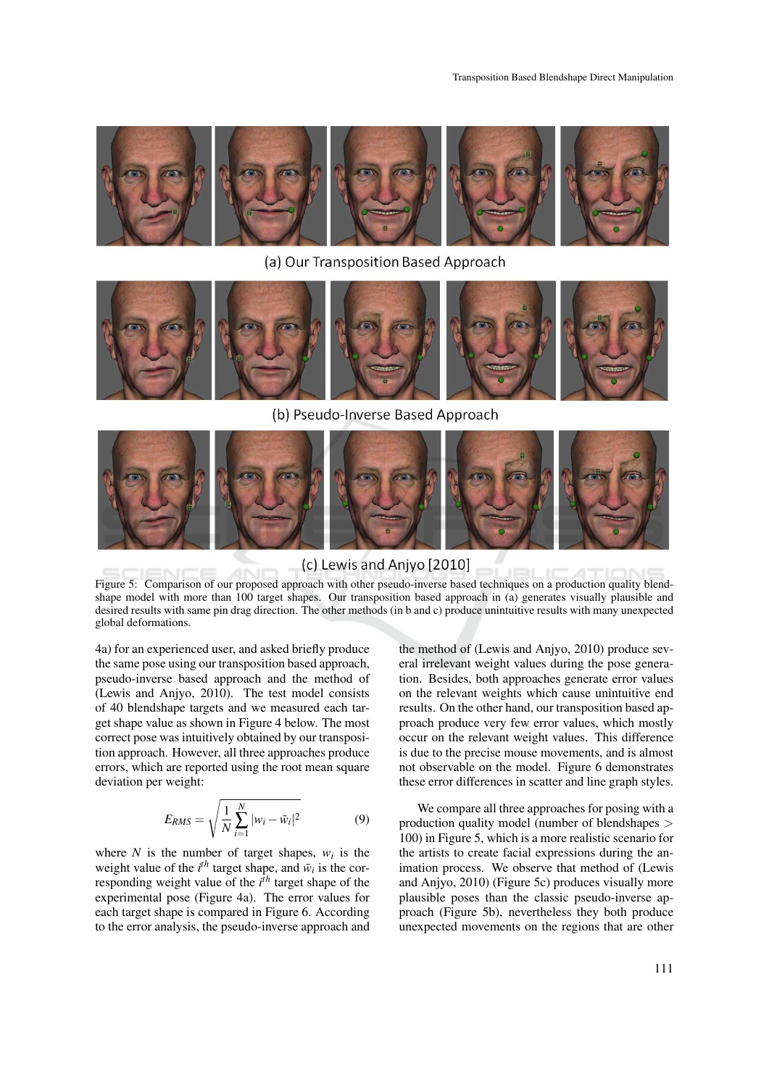

(a) Our Transposition Based Approach

(b) Pseudo-Inverse Based Approach



#### (c) Lewis and Anjyo [2010]

Figure 5: Comparison of our proposed approach with other pseudo-inverse based techniques on a production quality blendshape model with more than 100 target shapes. Our transposition based approach in (a) generates visually plausible and desired results with same pin drag direction. The other methods (in b and c) produce unintuitive results with many unexpected global deformations.

4a) for an experienced user, and asked briefly produce the same pose using our transposition based approach, pseudo-inverse based approach and the method of (Lewis and Anjyo, 2010). The test model consists of 40 blendshape targets and we measured each target shape value as shown in Figure 4 below. The most correct pose was intuitively obtained by our transposition approach. However, all three approaches produce errors, which are reported using the root mean square deviation per weight:

$$
E_{RMS} = \sqrt{\frac{1}{N} \sum_{i=1}^{N} |w_i - \bar{w}_i|^2}
$$
 (9)

where  $N$  is the number of target shapes,  $w_i$  is the weight value of the  $i^{th}$  target shape, and  $\bar{w}_i$  is the corresponding weight value of the *i th* target shape of the experimental pose (Figure 4a). The error values for each target shape is compared in Figure 6. According to the error analysis, the pseudo-inverse approach and

the method of (Lewis and Anjyo, 2010) produce several irrelevant weight values during the pose generation. Besides, both approaches generate error values on the relevant weights which cause unintuitive end results. On the other hand, our transposition based approach produce very few error values, which mostly occur on the relevant weight values. This difference is due to the precise mouse movements, and is almost not observable on the model. Figure 6 demonstrates these error differences in scatter and line graph styles.

We compare all three approaches for posing with a production quality model (number of blendshapes > 100) in Figure 5, which is a more realistic scenario for the artists to create facial expressions during the animation process. We observe that method of (Lewis and Anjyo, 2010) (Figure 5c) produces visually more plausible poses than the classic pseudo-inverse approach (Figure 5b), nevertheless they both produce unexpected movements on the regions that are other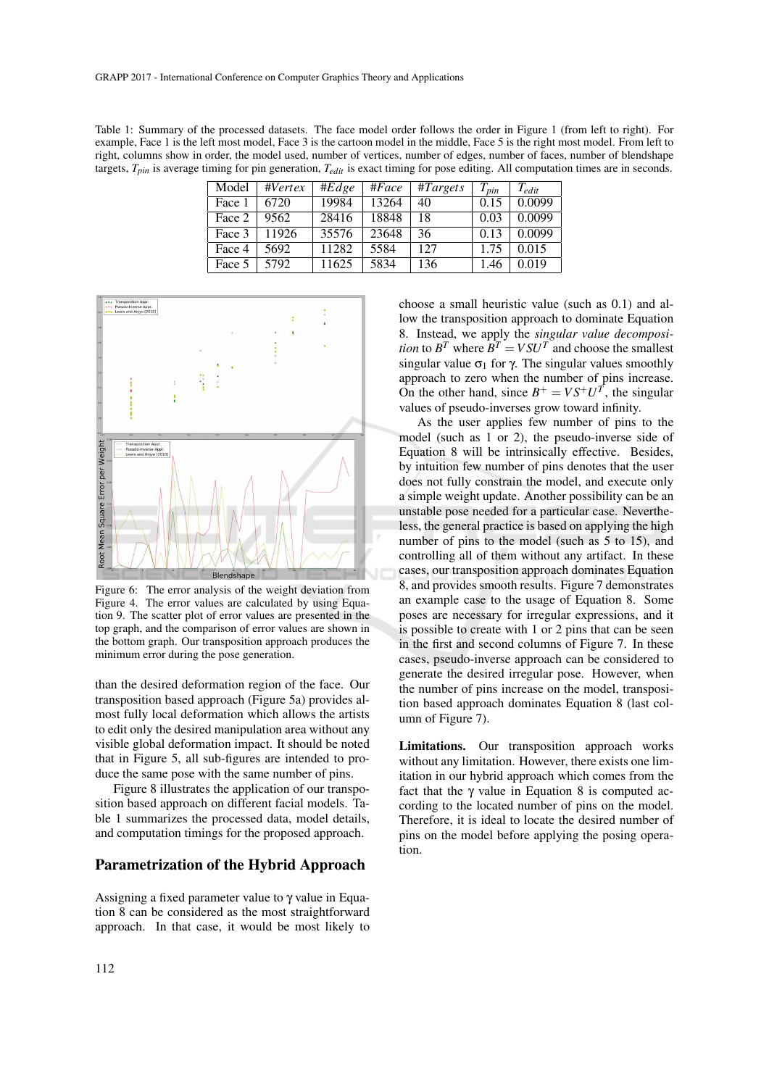Table 1: Summary of the processed datasets. The face model order follows the order in Figure 1 (from left to right). For example, Face 1 is the left most model, Face 3 is the cartoon model in the middle, Face 5 is the right most model. From left to right, columns show in order, the model used, number of vertices, number of edges, number of faces, number of blendshape targets, *Tpin* is average timing for pin generation, *Tedit* is exact timing for pose editing. All computation times are in seconds.

| Model  | $\#Vertex$ | #Edge | #Face | $\#Targest$ | $T_{pin}$ | $T_{edit}$ |
|--------|------------|-------|-------|-------------|-----------|------------|
| Face 1 | 6720       | 19984 | 13264 | 40          | 0.15      | 0.0099     |
| Face 2 | 9562       | 28416 | 18848 | 18          | 0.03      | 0.0099     |
| Face 3 | 11926      | 35576 | 23648 | 36          | 0.13      | 0.0099     |
| Face 4 | 5692       | 11282 | 5584  | 127         | 1.75      | 0.015      |
| Face 5 | 5792       | 11625 | 5834  | 136         | .46       | 0.019      |



Figure 6: The error analysis of the weight deviation from Figure 4. The error values are calculated by using Equation 9. The scatter plot of error values are presented in the top graph, and the comparison of error values are shown in the bottom graph. Our transposition approach produces the minimum error during the pose generation.

than the desired deformation region of the face. Our transposition based approach (Figure 5a) provides almost fully local deformation which allows the artists to edit only the desired manipulation area without any visible global deformation impact. It should be noted that in Figure 5, all sub-figures are intended to produce the same pose with the same number of pins.

Figure 8 illustrates the application of our transposition based approach on different facial models. Table 1 summarizes the processed data, model details, and computation timings for the proposed approach.

#### Parametrization of the Hybrid Approach

Assigning a fixed parameter value to γ value in Equation 8 can be considered as the most straightforward approach. In that case, it would be most likely to choose a small heuristic value (such as 0.1) and allow the transposition approach to dominate Equation 8. Instead, we apply the *singular value decomposition* to  $B^T$  where  $B^T = V S U^T$  and choose the smallest singular value  $\sigma_1$  for  $\gamma$ . The singular values smoothly approach to zero when the number of pins increase. On the other hand, since  $B^+ = VS^+U^T$ , the singular values of pseudo-inverses grow toward infinity.

As the user applies few number of pins to the model (such as 1 or 2), the pseudo-inverse side of Equation 8 will be intrinsically effective. Besides, by intuition few number of pins denotes that the user does not fully constrain the model, and execute only a simple weight update. Another possibility can be an unstable pose needed for a particular case. Nevertheless, the general practice is based on applying the high number of pins to the model (such as 5 to 15), and controlling all of them without any artifact. In these cases, our transposition approach dominates Equation 8, and provides smooth results. Figure 7 demonstrates an example case to the usage of Equation 8. Some poses are necessary for irregular expressions, and it is possible to create with 1 or 2 pins that can be seen in the first and second columns of Figure 7. In these cases, pseudo-inverse approach can be considered to generate the desired irregular pose. However, when the number of pins increase on the model, transposition based approach dominates Equation 8 (last column of Figure 7).

Limitations. Our transposition approach works without any limitation. However, there exists one limitation in our hybrid approach which comes from the fact that the  $\gamma$  value in Equation 8 is computed according to the located number of pins on the model. Therefore, it is ideal to locate the desired number of pins on the model before applying the posing operation.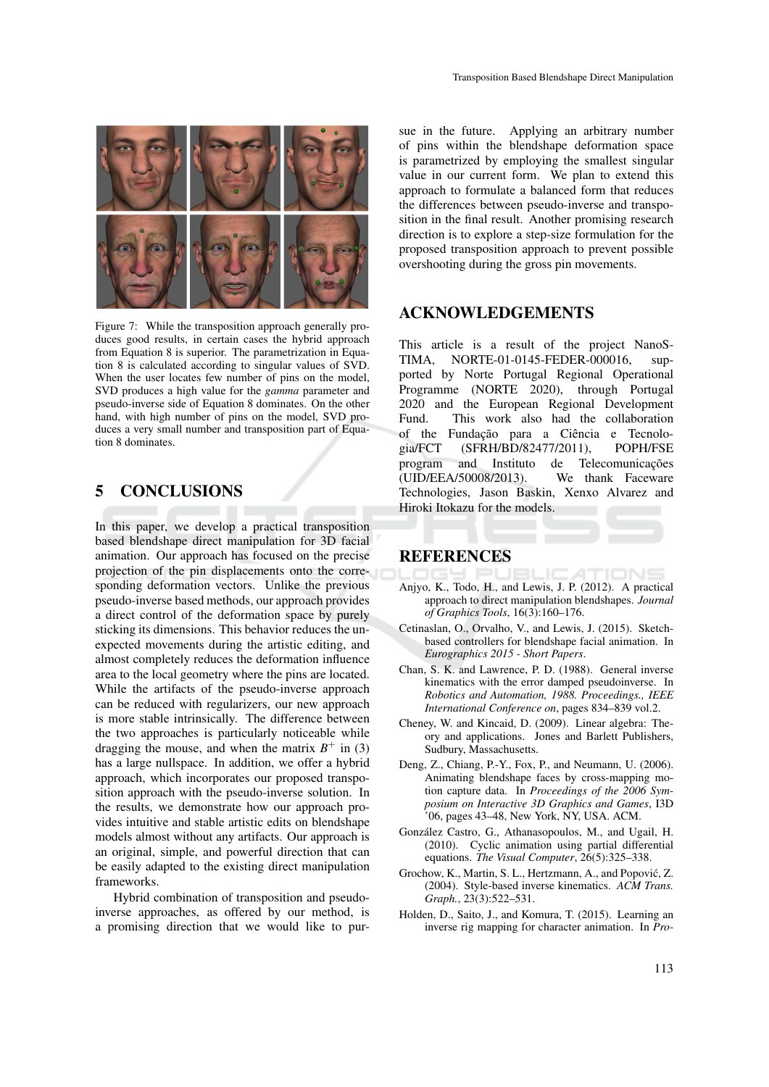

Figure 7: While the transposition approach generally produces good results, in certain cases the hybrid approach from Equation 8 is superior. The parametrization in Equation 8 is calculated according to singular values of SVD. When the user locates few number of pins on the model, SVD produces a high value for the *gamma* parameter and pseudo-inverse side of Equation 8 dominates. On the other hand, with high number of pins on the model, SVD produces a very small number and transposition part of Equation 8 dominates.

## 5 CONCLUSIONS

In this paper, we develop a practical transposition based blendshape direct manipulation for 3D facial animation. Our approach has focused on the precise projection of the pin displacements onto the corresponding deformation vectors. Unlike the previous pseudo-inverse based methods, our approach provides a direct control of the deformation space by purely sticking its dimensions. This behavior reduces the unexpected movements during the artistic editing, and almost completely reduces the deformation influence area to the local geometry where the pins are located. While the artifacts of the pseudo-inverse approach can be reduced with regularizers, our new approach is more stable intrinsically. The difference between the two approaches is particularly noticeable while dragging the mouse, and when the matrix  $B^+$  in (3) has a large nullspace. In addition, we offer a hybrid approach, which incorporates our proposed transposition approach with the pseudo-inverse solution. In the results, we demonstrate how our approach provides intuitive and stable artistic edits on blendshape models almost without any artifacts. Our approach is an original, simple, and powerful direction that can be easily adapted to the existing direct manipulation frameworks.

Hybrid combination of transposition and pseudoinverse approaches, as offered by our method, is a promising direction that we would like to pur-

sue in the future. Applying an arbitrary number of pins within the blendshape deformation space is parametrized by employing the smallest singular value in our current form. We plan to extend this approach to formulate a balanced form that reduces the differences between pseudo-inverse and transposition in the final result. Another promising research direction is to explore a step-size formulation for the proposed transposition approach to prevent possible overshooting during the gross pin movements.

#### ACKNOWLEDGEMENTS

This article is a result of the project NanoS-TIMA, NORTE-01-0145-FEDER-000016, supported by Norte Portugal Regional Operational Programme (NORTE 2020), through Portugal 2020 and the European Regional Development Fund. This work also had the collaboration of the Fundação para a Ciência e Tecnologia/FCT (SFRH/BD/82477/2011), POPH/FSE program and Instituto de Telecomunicações (UID/EEA/50008/2013). We thank Faceware Technologies, Jason Baskin, Xenxo Alvarez and Hiroki Itokazu for the models.

#### **REFERENCES**

- Anjyo, K., Todo, H., and Lewis, J. P. (2012). A practical approach to direct manipulation blendshapes. *Journal of Graphics Tools*, 16(3):160–176.
- Cetinaslan, O., Orvalho, V., and Lewis, J. (2015). Sketchbased controllers for blendshape facial animation. In *Eurographics 2015 - Short Papers*.
- Chan, S. K. and Lawrence, P. D. (1988). General inverse kinematics with the error damped pseudoinverse. In *Robotics and Automation, 1988. Proceedings., IEEE International Conference on*, pages 834–839 vol.2.
- Cheney, W. and Kincaid, D. (2009). Linear algebra: Theory and applications. Jones and Barlett Publishers, Sudbury, Massachusetts.
- Deng, Z., Chiang, P.-Y., Fox, P., and Neumann, U. (2006). Animating blendshape faces by cross-mapping motion capture data. In *Proceedings of the 2006 Symposium on Interactive 3D Graphics and Games*, I3D  $106$ , pages 43–48, New York, NY, USA. ACM.
- Gonzalez Castro, G., Athanasopoulos, M., and Ugail, H. ´ (2010). Cyclic animation using partial differential equations. *The Visual Computer*, 26(5):325–338.
- Grochow, K., Martin, S. L., Hertzmann, A., and Popović, Z. (2004). Style-based inverse kinematics. *ACM Trans. Graph.*, 23(3):522–531.
- Holden, D., Saito, J., and Komura, T. (2015). Learning an inverse rig mapping for character animation. In *Pro-*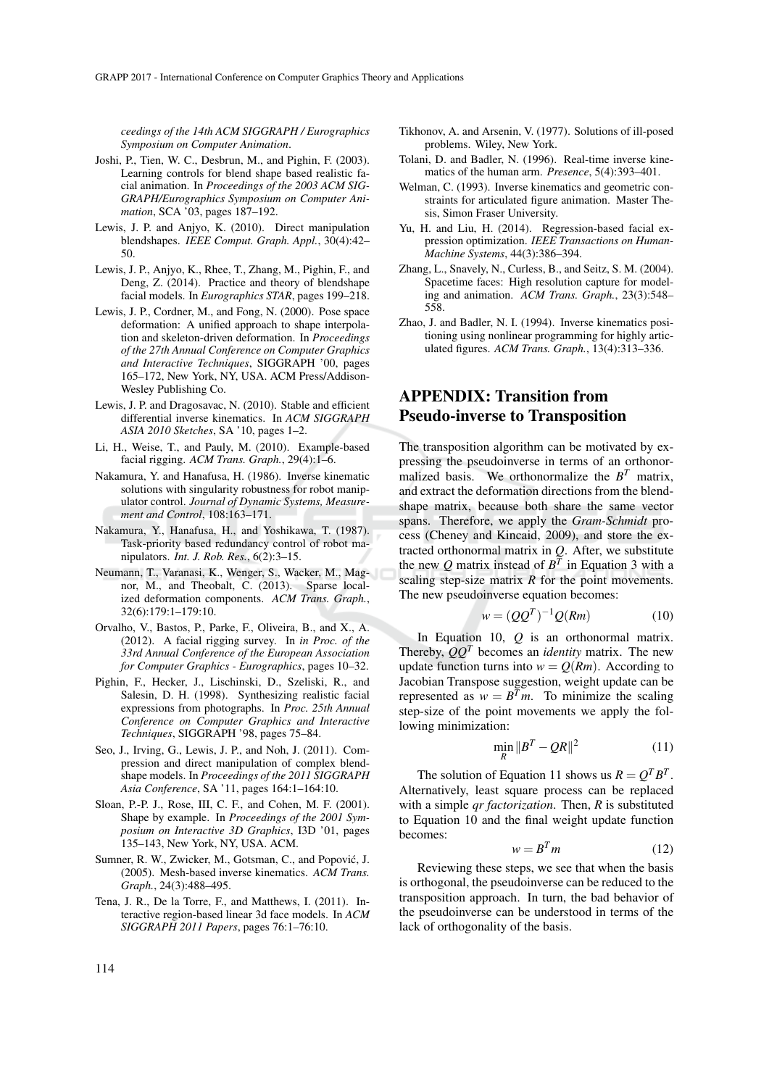*ceedings of the 14th ACM SIGGRAPH / Eurographics Symposium on Computer Animation*.

- Joshi, P., Tien, W. C., Desbrun, M., and Pighin, F. (2003). Learning controls for blend shape based realistic facial animation. In *Proceedings of the 2003 ACM SIG-GRAPH/Eurographics Symposium on Computer Animation*, SCA '03, pages 187–192.
- Lewis, J. P. and Anjyo, K. (2010). Direct manipulation blendshapes. *IEEE Comput. Graph. Appl.*, 30(4):42– 50.
- Lewis, J. P., Anjyo, K., Rhee, T., Zhang, M., Pighin, F., and Deng, Z. (2014). Practice and theory of blendshape facial models. In *Eurographics STAR*, pages 199–218.
- Lewis, J. P., Cordner, M., and Fong, N. (2000). Pose space deformation: A unified approach to shape interpolation and skeleton-driven deformation. In *Proceedings of the 27th Annual Conference on Computer Graphics and Interactive Techniques*, SIGGRAPH '00, pages 165–172, New York, NY, USA. ACM Press/Addison-Wesley Publishing Co.
- Lewis, J. P. and Dragosavac, N. (2010). Stable and efficient differential inverse kinematics. In *ACM SIGGRAPH ASIA 2010 Sketches*, SA '10, pages 1–2.
- Li, H., Weise, T., and Pauly, M. (2010). Example-based facial rigging. *ACM Trans. Graph.*, 29(4):1–6.
- Nakamura, Y. and Hanafusa, H. (1986). Inverse kinematic solutions with singularity robustness for robot manipulator control. *Journal of Dynamic Systems, Measurement and Control*, 108:163–171.
- Nakamura, Y., Hanafusa, H., and Yoshikawa, T. (1987). Task-priority based redundancy control of robot manipulators. *Int. J. Rob. Res.*, 6(2):3–15.
- Neumann, T., Varanasi, K., Wenger, S., Wacker, M., Magnor, M., and Theobalt, C. (2013). Sparse localized deformation components. *ACM Trans. Graph.*, 32(6):179:1–179:10.
- Orvalho, V., Bastos, P., Parke, F., Oliveira, B., and X., A. (2012). A facial rigging survey. In *in Proc. of the 33rd Annual Conference of the European Association for Computer Graphics - Eurographics*, pages 10–32.
- Pighin, F., Hecker, J., Lischinski, D., Szeliski, R., and Salesin, D. H. (1998). Synthesizing realistic facial expressions from photographs. In *Proc. 25th Annual Conference on Computer Graphics and Interactive Techniques*, SIGGRAPH '98, pages 75–84.
- Seo, J., Irving, G., Lewis, J. P., and Noh, J. (2011). Compression and direct manipulation of complex blendshape models. In *Proceedings of the 2011 SIGGRAPH Asia Conference*, SA '11, pages 164:1–164:10.
- Sloan, P.-P. J., Rose, III, C. F., and Cohen, M. F. (2001). Shape by example. In *Proceedings of the 2001 Symposium on Interactive 3D Graphics*, I3D '01, pages 135–143, New York, NY, USA. ACM.
- Sumner, R. W., Zwicker, M., Gotsman, C., and Popovic, J. ´ (2005). Mesh-based inverse kinematics. *ACM Trans. Graph.*, 24(3):488–495.
- Tena, J. R., De la Torre, F., and Matthews, I. (2011). Interactive region-based linear 3d face models. In *ACM SIGGRAPH 2011 Papers*, pages 76:1–76:10.
- Tolani, D. and Badler, N. (1996). Real-time inverse kinematics of the human arm. *Presence*, 5(4):393–401.
- Welman, C. (1993). Inverse kinematics and geometric constraints for articulated figure animation. Master Thesis, Simon Fraser University.
- Yu, H. and Liu, H. (2014). Regression-based facial expression optimization. *IEEE Transactions on Human-Machine Systems*, 44(3):386–394.
- Zhang, L., Snavely, N., Curless, B., and Seitz, S. M. (2004). Spacetime faces: High resolution capture for modeling and animation. *ACM Trans. Graph.*, 23(3):548– 558.
- Zhao, J. and Badler, N. I. (1994). Inverse kinematics positioning using nonlinear programming for highly articulated figures. *ACM Trans. Graph.*, 13(4):313–336.

# APPENDIX: Transition from Pseudo-inverse to Transposition

The transposition algorithm can be motivated by expressing the pseudoinverse in terms of an orthonormalized basis. We orthonormalize the  $B<sup>T</sup>$  matrix, and extract the deformation directions from the blendshape matrix, because both share the same vector spans. Therefore, we apply the *Gram-Schmidt* process (Cheney and Kincaid, 2009), and store the extracted orthonormal matrix in *Q*. After, we substitute the new Q matrix instead of  $B<sup>T</sup>$  in Equation 3 with a scaling step-size matrix *R* for the point movements. The new pseudoinverse equation becomes:

$$
w = (QQT)-1Q(Rm)
$$
 (10)

In Equation 10, *Q* is an orthonormal matrix. Thereby,  $QQ<sup>T</sup>$  becomes an *identity* matrix. The new update function turns into  $w = Q(Rm)$ . According to Jacobian Transpose suggestion, weight update can be represented as  $w = B^T m$ . To minimize the scaling step-size of the point movements we apply the following minimization:

$$
\min_{R} \|B^T - QR\|^2 \tag{11}
$$

The solution of Equation 11 shows us  $R = Q^T B^T$ . Alternatively, least square process can be replaced with a simple *qr factorization*. Then, *R* is substituted to Equation 10 and the final weight update function becomes:

$$
w = B^T m \tag{12}
$$

Reviewing these steps, we see that when the basis is orthogonal, the pseudoinverse can be reduced to the transposition approach. In turn, the bad behavior of the pseudoinverse can be understood in terms of the lack of orthogonality of the basis.